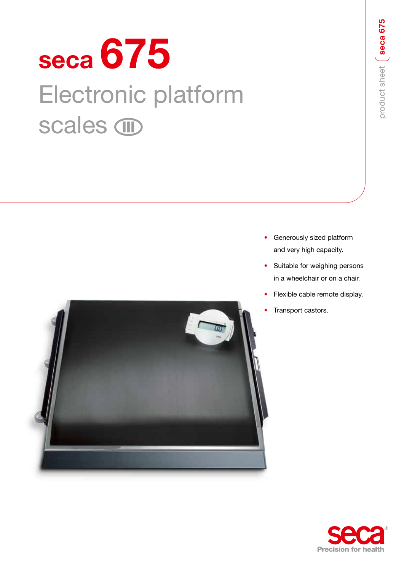# **seca 675** Electronic platform scales *IID*



- Generously sized platform and very high capacity.
- Suitable for weighing persons in a wheelchair or on a chair.
- Flexible cable remote display.
- Transport castors.